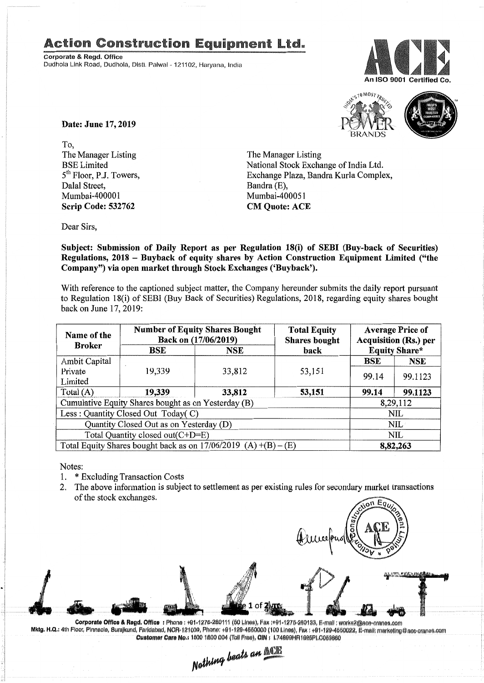## **Action Construction Equipment Ltd.**

Corporate & Regd. Office Dudhola Link Road, Dudhola, Distt, Palwal - 121102, Harvana, India





Date: June 17, 2019

To. The Manager Listing **BSE** Limited 5<sup>th</sup> Floor, P.J. Towers, Dalal Street, Mumbai-400001 **Scrip Code: 532762** 

The Manager Listing National Stock Exchange of India Ltd. Exchange Plaza, Bandra Kurla Complex, Bandra (E). Mumbai-400051 **CM Ouote: ACE** 

Dear Sirs,

Subject: Submission of Daily Report as per Regulation 18(i) of SEBI (Buy-back of Securities) Regulations, 2018 - Buyback of equity shares by Action Construction Equipment Limited ("the Company") via open market through Stock Exchanges ('Buyback').

With reference to the captioned subject matter, the Company hereunder submits the daily report pursuant to Regulation 18(i) of SEBI (Buy Back of Securities) Regulations, 2018, regarding equity shares bought back on June 17, 2019:

| Name of the<br><b>Broker</b>                                      | <b>Number of Equity Shares Bought</b><br>Back on (17/06/2019) |            | <b>Total Equity</b><br><b>Shares bought</b> | <b>Average Price of</b><br><b>Acquisition (Rs.) per</b> |                      |  |
|-------------------------------------------------------------------|---------------------------------------------------------------|------------|---------------------------------------------|---------------------------------------------------------|----------------------|--|
|                                                                   | BSE                                                           | <b>NSE</b> | back                                        |                                                         | <b>Equity Share*</b> |  |
| Ambit Capital                                                     |                                                               |            |                                             | BSE                                                     | NSE                  |  |
| Private                                                           | 19,339                                                        | 33,812     | 53,151                                      | 99.14                                                   | 99.1123              |  |
| Limited                                                           |                                                               |            |                                             |                                                         |                      |  |
| Total $(A)$                                                       | 19,339                                                        | 33,812     | 53,151                                      | 99.14                                                   | 99.1123              |  |
| Cumulative Equity Shares bought as on Yesterday (B)               |                                                               |            |                                             |                                                         | 8,29,112             |  |
| Less: Quantity Closed Out Today(C)                                |                                                               |            |                                             |                                                         | NIL                  |  |
| Quantity Closed Out as on Yesterday (D)                           |                                                               |            |                                             |                                                         | NIL                  |  |
| Total Quantity closed out $(C+D=E)$                               |                                                               |            |                                             |                                                         | NIL                  |  |
| Total Equity Shares bought back as on $17/06/2019$ (A) +(B) – (E) |                                                               |            |                                             |                                                         | 8,82,263             |  |

Notes:

- \* Excluding Transaction Costs 1.
- The above information is subject to settlement as per existing rules for secondary market transactions  $2.$ of the stock exchanges.

Corporate Office & Regd. Office : Phone: +01-1276-280111 (50 Lines), Fax:+01-1275-280133, E-mail: works2@ace-cranes.com Mktg. H.Q.: 4th Floor, Pinnacle, Surajkund, Faridabad, NCR-121009, Phone: +91-129-4550000 (100 Lines), Fax: +91-129-4550022, E-mail: marketing@ase-cranes.com Customer Care No.: 1800 1800 004 (Toll Free), CIN : L74899HR1995PLC053860

Nothing beats an **NCTE**